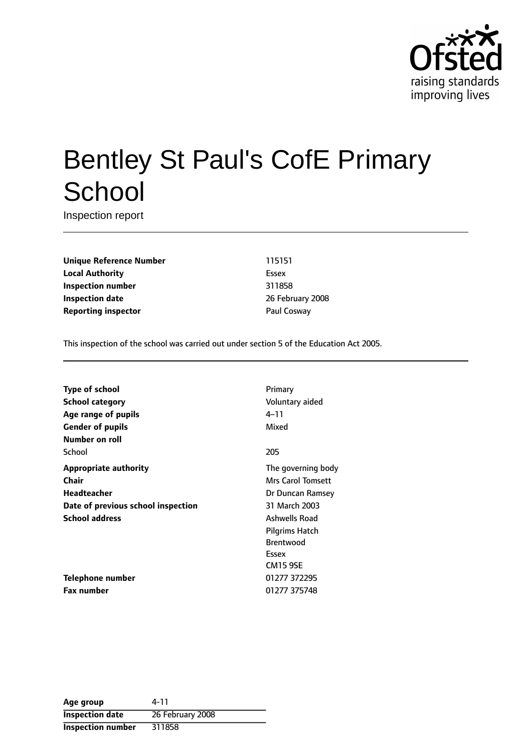

# Bentley St Paul's CofE Primary **School**

Inspection report

**Unique Reference Number** 115151 **Local Authority** Essex **Inspection number** 311858 **Inspection date** 26 February 2008 **Reporting inspector Contract Paul Cosway** 

This inspection of the school was carried out under section 5 of the Education Act 2005.

| <b>Type of school</b>              | Primary                  |
|------------------------------------|--------------------------|
| <b>School category</b>             | Voluntary aided          |
| Age range of pupils                | $4 - 11$                 |
| <b>Gender of pupils</b>            | Mixed                    |
| Number on roll                     |                          |
| School                             | 205                      |
| <b>Appropriate authority</b>       | The governing body       |
| <b>Chair</b>                       | <b>Mrs Carol Tomsett</b> |
| Headteacher                        | Dr Duncan Ramsey         |
| Date of previous school inspection | 31 March 2003            |
| <b>School address</b>              | <b>Ashwells Road</b>     |
|                                    | Pilgrims Hatch           |
|                                    | <b>Brentwood</b>         |
|                                    | Essex                    |
|                                    | <b>CM15 9SE</b>          |
| Telephone number                   | 01277 372295             |
| <b>Fax number</b>                  | 01277 375748             |

| Age group                | 4-11             |
|--------------------------|------------------|
| <b>Inspection date</b>   | 26 February 2008 |
| <b>Inspection number</b> | 311858           |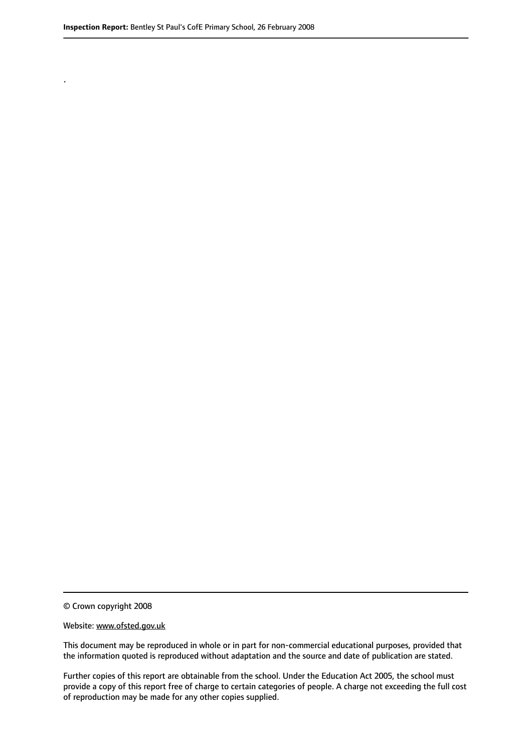.

© Crown copyright 2008

#### Website: www.ofsted.gov.uk

This document may be reproduced in whole or in part for non-commercial educational purposes, provided that the information quoted is reproduced without adaptation and the source and date of publication are stated.

Further copies of this report are obtainable from the school. Under the Education Act 2005, the school must provide a copy of this report free of charge to certain categories of people. A charge not exceeding the full cost of reproduction may be made for any other copies supplied.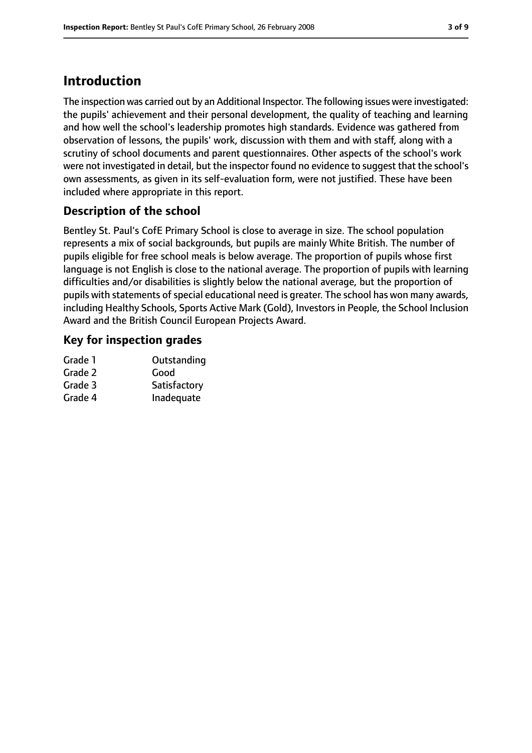# **Introduction**

The inspection was carried out by an Additional Inspector. The following issues were investigated: the pupils' achievement and their personal development, the quality of teaching and learning and how well the school's leadership promotes high standards. Evidence was gathered from observation of lessons, the pupils' work, discussion with them and with staff, along with a scrutiny of school documents and parent questionnaires. Other aspects of the school's work were not investigated in detail, but the inspector found no evidence to suggest that the school's own assessments, as given in its self-evaluation form, were not justified. These have been included where appropriate in this report.

# **Description of the school**

Bentley St. Paul's CofE Primary School is close to average in size. The school population represents a mix of social backgrounds, but pupils are mainly White British. The number of pupils eligible for free school meals is below average. The proportion of pupils whose first language is not English is close to the national average. The proportion of pupils with learning difficulties and/or disabilities is slightly below the national average, but the proportion of pupils with statements of special educational need is greater. The school has won many awards, including Healthy Schools, Sports Active Mark (Gold), Investors in People, the School Inclusion Award and the British Council European Projects Award.

### **Key for inspection grades**

| Grade 1 | Outstanding  |
|---------|--------------|
| Grade 2 | Good         |
| Grade 3 | Satisfactory |
| Grade 4 | Inadequate   |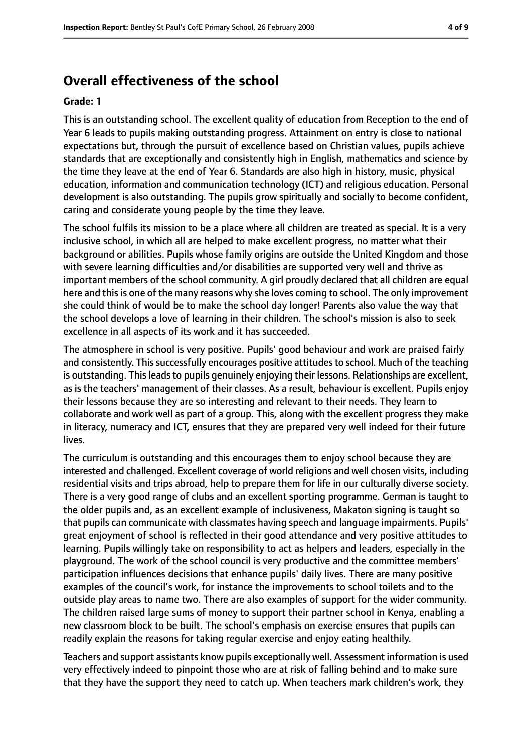# **Overall effectiveness of the school**

#### **Grade: 1**

This is an outstanding school. The excellent quality of education from Reception to the end of Year 6 leads to pupils making outstanding progress. Attainment on entry is close to national expectations but, through the pursuit of excellence based on Christian values, pupils achieve standards that are exceptionally and consistently high in English, mathematics and science by the time they leave at the end of Year 6. Standards are also high in history, music, physical education, information and communication technology (ICT) and religious education. Personal development is also outstanding. The pupils grow spiritually and socially to become confident, caring and considerate young people by the time they leave.

The school fulfils its mission to be a place where all children are treated as special. It is a very inclusive school, in which all are helped to make excellent progress, no matter what their background or abilities. Pupils whose family origins are outside the United Kingdom and those with severe learning difficulties and/or disabilities are supported very well and thrive as important members of the school community. A girl proudly declared that all children are equal here and this is one of the many reasons why she loves coming to school. The only improvement she could think of would be to make the school day longer! Parents also value the way that the school develops a love of learning in their children. The school's mission is also to seek excellence in all aspects of its work and it has succeeded.

The atmosphere in school is very positive. Pupils' good behaviour and work are praised fairly and consistently. This successfully encourages positive attitudes to school. Much of the teaching is outstanding. This leads to pupils genuinely enjoying their lessons. Relationships are excellent, as is the teachers' management of their classes. As a result, behaviour is excellent. Pupils enjoy their lessons because they are so interesting and relevant to their needs. They learn to collaborate and work well as part of a group. This, along with the excellent progress they make in literacy, numeracy and ICT, ensures that they are prepared very well indeed for their future lives.

The curriculum is outstanding and this encourages them to enjoy school because they are interested and challenged. Excellent coverage of world religions and well chosen visits, including residential visits and trips abroad, help to prepare them for life in our culturally diverse society. There is a very good range of clubs and an excellent sporting programme. German is taught to the older pupils and, as an excellent example of inclusiveness, Makaton signing is taught so that pupils can communicate with classmates having speech and language impairments. Pupils' great enjoyment of school is reflected in their good attendance and very positive attitudes to learning. Pupils willingly take on responsibility to act as helpers and leaders, especially in the playground. The work of the school council is very productive and the committee members' participation influences decisions that enhance pupils' daily lives. There are many positive examples of the council's work, for instance the improvements to school toilets and to the outside play areas to name two. There are also examples of support for the wider community. The children raised large sums of money to support their partner school in Kenya, enabling a new classroom block to be built. The school's emphasis on exercise ensures that pupils can readily explain the reasons for taking regular exercise and enjoy eating healthily.

Teachers and support assistants know pupils exceptionally well. Assessment information is used very effectively indeed to pinpoint those who are at risk of falling behind and to make sure that they have the support they need to catch up. When teachers mark children's work, they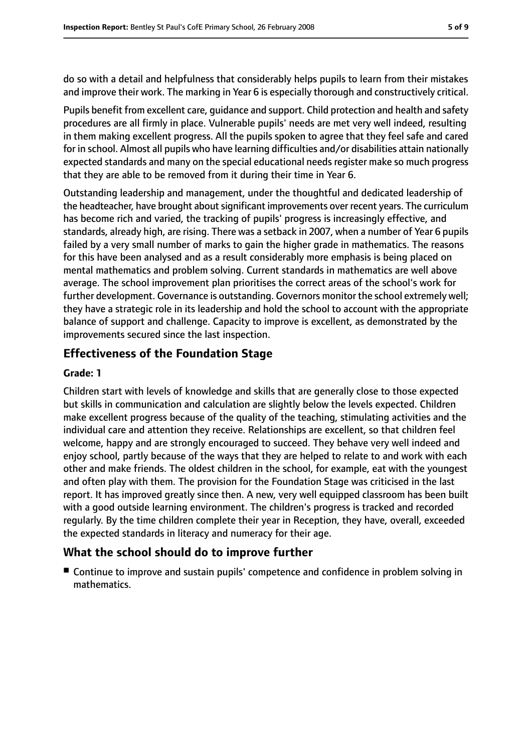do so with a detail and helpfulness that considerably helps pupils to learn from their mistakes and improve their work. The marking in Year 6 is especially thorough and constructively critical.

Pupils benefit from excellent care, guidance and support. Child protection and health and safety procedures are all firmly in place. Vulnerable pupils' needs are met very well indeed, resulting in them making excellent progress. All the pupils spoken to agree that they feel safe and cared for in school. Almost all pupils who have learning difficulties and/or disabilities attain nationally expected standards and many on the special educational needs register make so much progress that they are able to be removed from it during their time in Year 6.

Outstanding leadership and management, under the thoughtful and dedicated leadership of the headteacher, have brought about significant improvements over recent years. The curriculum has become rich and varied, the tracking of pupils' progress is increasingly effective, and standards, already high, are rising. There was a setback in 2007, when a number of Year 6 pupils failed by a very small number of marks to gain the higher grade in mathematics. The reasons for this have been analysed and as a result considerably more emphasis is being placed on mental mathematics and problem solving. Current standards in mathematics are well above average. The school improvement plan prioritises the correct areas of the school's work for further development. Governance is outstanding. Governors monitor the school extremely well; they have a strategic role in its leadership and hold the school to account with the appropriate balance of support and challenge. Capacity to improve is excellent, as demonstrated by the improvements secured since the last inspection.

# **Effectiveness of the Foundation Stage**

### **Grade: 1**

Children start with levels of knowledge and skills that are generally close to those expected but skills in communication and calculation are slightly below the levels expected. Children make excellent progress because of the quality of the teaching, stimulating activities and the individual care and attention they receive. Relationships are excellent, so that children feel welcome, happy and are strongly encouraged to succeed. They behave very well indeed and enjoy school, partly because of the ways that they are helped to relate to and work with each other and make friends. The oldest children in the school, for example, eat with the youngest and often play with them. The provision for the Foundation Stage was criticised in the last report. It has improved greatly since then. A new, very well equipped classroom has been built with a good outside learning environment. The children's progress is tracked and recorded regularly. By the time children complete their year in Reception, they have, overall, exceeded the expected standards in literacy and numeracy for their age.

# **What the school should do to improve further**

■ Continue to improve and sustain pupils' competence and confidence in problem solving in mathematics.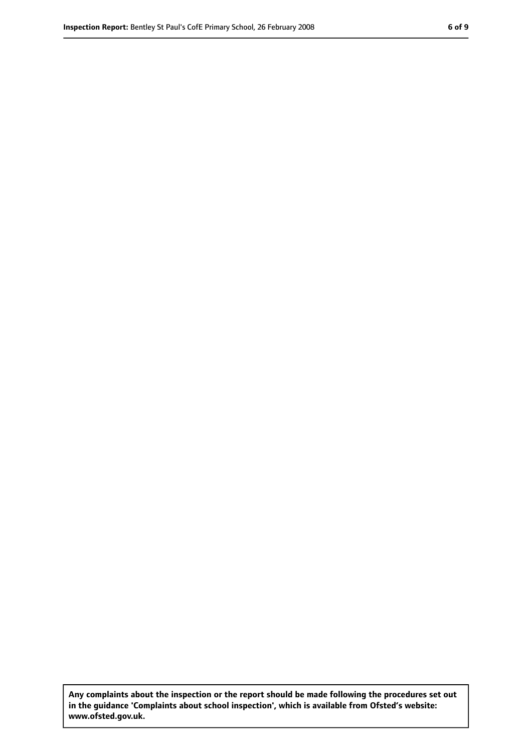**Any complaints about the inspection or the report should be made following the procedures set out in the guidance 'Complaints about school inspection', which is available from Ofsted's website: www.ofsted.gov.uk.**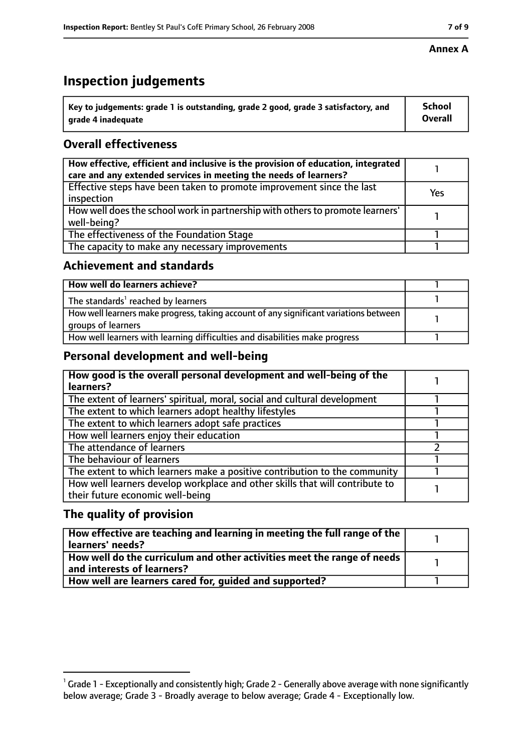# **Inspection judgements**

| $^{\backprime}$ Key to judgements: grade 1 is outstanding, grade 2 good, grade 3 satisfactory, and | <b>School</b>  |
|----------------------------------------------------------------------------------------------------|----------------|
| arade 4 inadequate                                                                                 | <b>Overall</b> |

# **Overall effectiveness**

| How effective, efficient and inclusive is the provision of education, integrated<br>care and any extended services in meeting the needs of learners? |     |
|------------------------------------------------------------------------------------------------------------------------------------------------------|-----|
| Effective steps have been taken to promote improvement since the last<br>inspection                                                                  | Yes |
| How well does the school work in partnership with others to promote learners'<br>well-being?                                                         |     |
| The effectiveness of the Foundation Stage                                                                                                            |     |
| The capacity to make any necessary improvements                                                                                                      |     |

### **Achievement and standards**

| How well do learners achieve?                                                                               |  |
|-------------------------------------------------------------------------------------------------------------|--|
| The standards <sup>1</sup> reached by learners                                                              |  |
| How well learners make progress, taking account of any significant variations between<br>groups of learners |  |
| How well learners with learning difficulties and disabilities make progress                                 |  |

# **Personal development and well-being**

| How good is the overall personal development and well-being of the<br>learners?                                  |  |
|------------------------------------------------------------------------------------------------------------------|--|
| The extent of learners' spiritual, moral, social and cultural development                                        |  |
| The extent to which learners adopt healthy lifestyles                                                            |  |
| The extent to which learners adopt safe practices                                                                |  |
| How well learners enjoy their education                                                                          |  |
| The attendance of learners                                                                                       |  |
| The behaviour of learners                                                                                        |  |
| The extent to which learners make a positive contribution to the community                                       |  |
| How well learners develop workplace and other skills that will contribute to<br>their future economic well-being |  |

# **The quality of provision**

| How effective are teaching and learning in meeting the full range of the<br>learners' needs?          |  |
|-------------------------------------------------------------------------------------------------------|--|
| How well do the curriculum and other activities meet the range of needs<br>and interests of learners? |  |
| How well are learners cared for, quided and supported?                                                |  |

 $^1$  Grade 1 - Exceptionally and consistently high; Grade 2 - Generally above average with none significantly below average; Grade 3 - Broadly average to below average; Grade 4 - Exceptionally low.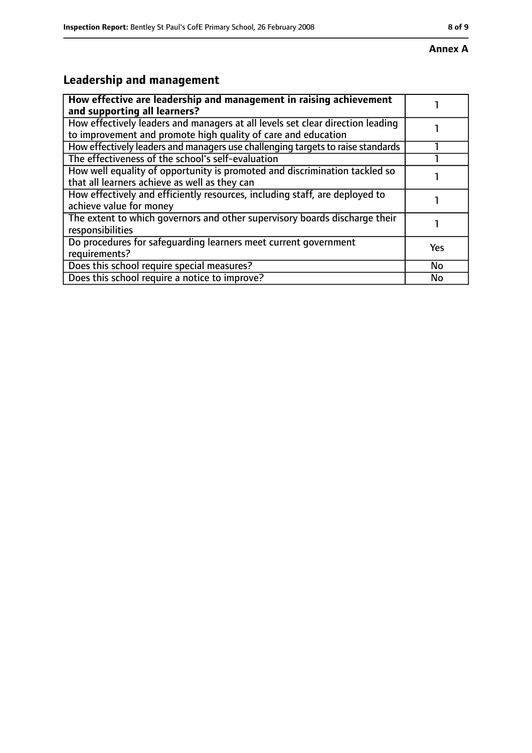#### **Annex A**

# **Leadership and management**

| How effective are leadership and management in raising achievement<br>and supporting all learners?                                              |     |
|-------------------------------------------------------------------------------------------------------------------------------------------------|-----|
| How effectively leaders and managers at all levels set clear direction leading<br>to improvement and promote high quality of care and education |     |
| How effectively leaders and managers use challenging targets to raise standards                                                                 |     |
| The effectiveness of the school's self-evaluation                                                                                               |     |
| How well equality of opportunity is promoted and discrimination tackled so<br>that all learners achieve as well as they can                     |     |
| How effectively and efficiently resources, including staff, are deployed to<br>achieve value for money                                          |     |
| The extent to which governors and other supervisory boards discharge their<br>responsibilities                                                  |     |
| Do procedures for safequarding learners meet current government<br>requirements?                                                                | Yes |
| Does this school require special measures?                                                                                                      | No  |
| Does this school require a notice to improve?                                                                                                   | No  |